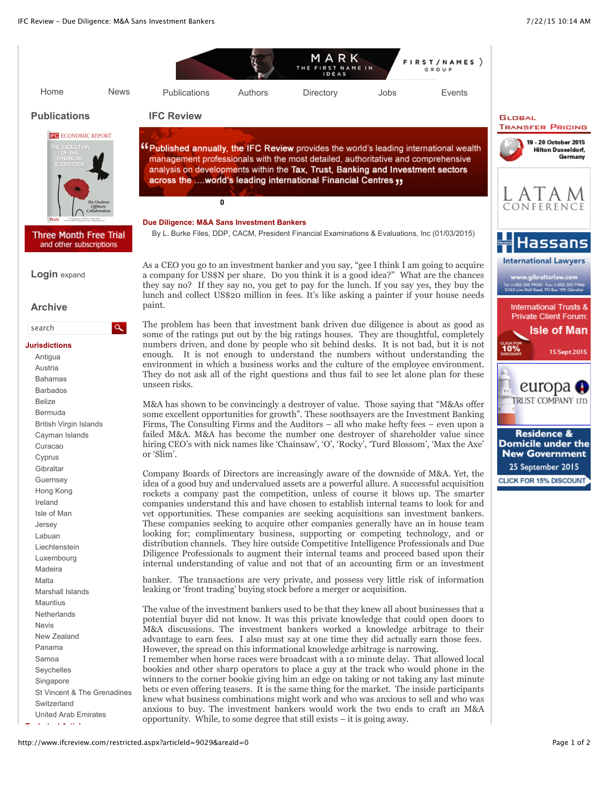